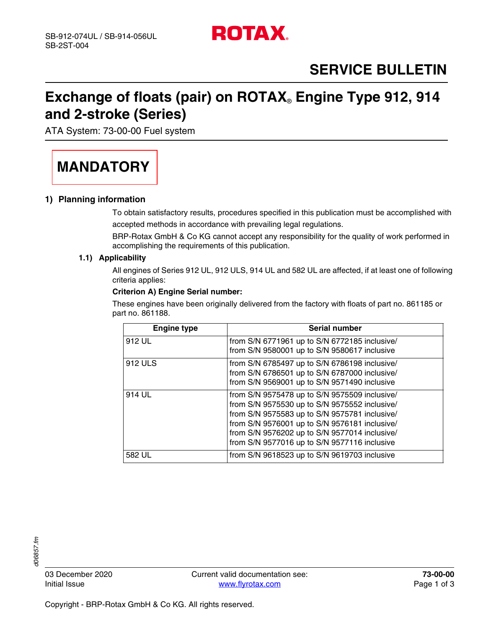

# **SERVICE BULLETIN**

### **Exchange of floats (pair) on ROTAX**® **Engine Type 912, 914 and 2-stroke (Series)**

ATA System: 73-00-00 Fuel system

# **MANDATORY**

### **1) Planning information**

To obtain satisfactory results, procedures specified in this publication must be accomplished with accepted methods in accordance with prevailing legal regulations.

BRP-Rotax GmbH & Co KG cannot accept any responsibility for the quality of work performed in accomplishing the requirements of this publication.

#### **1.1) Applicability**

All engines of Series 912 UL, 912 ULS, 914 UL and 582 UL are affected, if at least one of following criteria applies:

#### **Criterion A) Engine Serial number:**

These engines have been originally delivered from the factory with floats of part no. 861185 or part no. 861188.

| <b>Engine type</b> | Serial number                                                                                                                                                                                                                                                                                     |
|--------------------|---------------------------------------------------------------------------------------------------------------------------------------------------------------------------------------------------------------------------------------------------------------------------------------------------|
| 912 UL             | from S/N 6771961 up to S/N 6772185 inclusive/<br>from S/N 9580001 up to S/N 9580617 inclusive                                                                                                                                                                                                     |
| 912 ULS            | from S/N 6785497 up to S/N 6786198 inclusive/<br>from S/N 6786501 up to S/N 6787000 inclusive/<br>from S/N 9569001 up to S/N 9571490 inclusive                                                                                                                                                    |
| 914 UL             | from S/N 9575478 up to S/N 9575509 inclusive/<br>from S/N 9575530 up to S/N 9575552 inclusive/<br>from S/N 9575583 up to S/N 9575781 inclusive/<br>from S/N 9576001 up to S/N 9576181 inclusive/<br>from S/N 9576202 up to S/N 9577014 inclusive/<br>from S/N 9577016 up to S/N 9577116 inclusive |
| 582 UL             | from S/N 9618523 up to S/N 9619703 inclusive                                                                                                                                                                                                                                                      |

106857.fm *d06857.fm*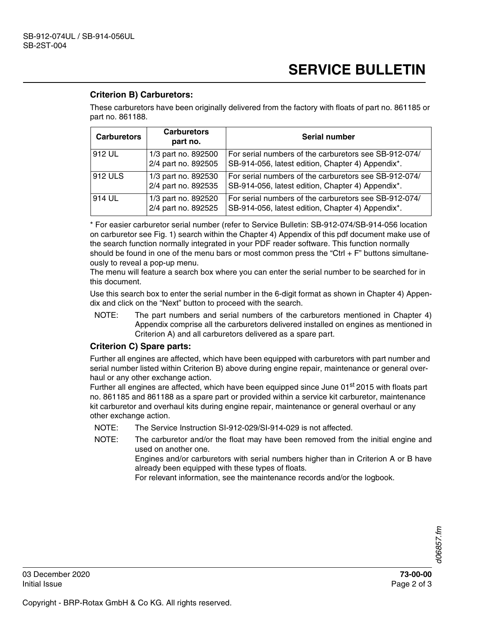## **SERVICE BULLETIN**

### **Criterion B) Carburetors:**

These carburetors have been originally delivered from the factory with floats of part no. 861185 or part no. 861188.

| <b>Carburetors</b> | <b>Carburetors</b><br>part no.             | <b>Serial number</b>                                                                                       |
|--------------------|--------------------------------------------|------------------------------------------------------------------------------------------------------------|
| 1912 UL            | 1/3 part no. 892500<br>2/4 part no. 892505 | For serial numbers of the carburetors see SB-912-074/<br>SB-914-056, latest edition, Chapter 4) Appendix*. |
| 912 ULS            | 1/3 part no. 892530<br>2/4 part no. 892535 | For serial numbers of the carburetors see SB-912-074/<br>SB-914-056, latest edition, Chapter 4) Appendix*. |
| 914 UL             | 1/3 part no. 892520<br>2/4 part no. 892525 | For serial numbers of the carburetors see SB-912-074/<br>SB-914-056, latest edition, Chapter 4) Appendix*. |

\* For easier carburetor serial number (refer to Service Bulletin: SB-912-074/SB-914-056 location on carburetor see Fig. 1) search within the Chapter 4) Appendix of this pdf document make use of the search function normally integrated in your PDF reader software. This function normally should be found in one of the menu bars or most common press the "Ctrl  $+ F$ " buttons simultaneously to reveal a pop-up menu.

The menu will feature a search box where you can enter the serial number to be searched for in this document.

Use this search box to enter the serial number in the 6-digit format as shown in Chapter 4) Appendix and click on the "Next" button to proceed with the search.

NOTE: The part numbers and serial numbers of the carburetors mentioned in Chapter 4) Appendix comprise all the carburetors delivered installed on engines as mentioned in Criterion A) and all carburetors delivered as a spare part.

#### **Criterion C) Spare parts:**

Further all engines are affected, which have been equipped with carburetors with part number and serial number listed within Criterion B) above during engine repair, maintenance or general overhaul or any other exchange action.

Further all engines are affected, which have been equipped since June 01<sup>st</sup> 2015 with floats part no. 861185 and 861188 as a spare part or provided within a service kit carburetor, maintenance kit carburetor and overhaul kits during engine repair, maintenance or general overhaul or any other exchange action.

- NOTE: The Service Instruction SI-912-029/SI-914-029 is not affected.
- NOTE: The carburetor and/or the float may have been removed from the initial engine and used on another one.

Engines and/or carburetors with serial numbers higher than in Criterion A or B have already been equipped with these types of floats.

For relevant information, see the maintenance records and/or the logbook.